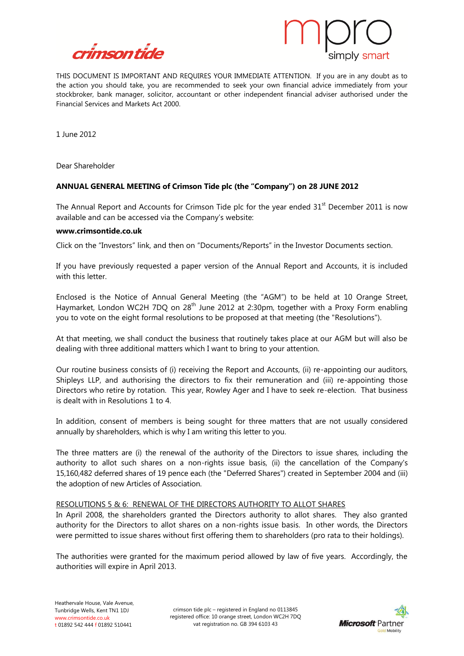



THIS DOCUMENT IS IMPORTANT AND REQUIRES YOUR IMMEDIATE ATTENTION. If you are in any doubt as to the action you should take, you are recommended to seek your own financial advice immediately from your stockbroker, bank manager, solicitor, accountant or other independent financial adviser authorised under the Financial Services and Markets Act 2000.

1 June 2012

Dear Shareholder

# **ANNUAL GENERAL MEETING of Crimson Tide plc (the "Company") on 28 JUNE 2012**

The Annual Report and Accounts for Crimson Tide plc for the year ended  $31<sup>st</sup>$  December 2011 is now available and can be accessed via the Company's website:

#### **www.crimsontide.co.uk**

Click on the "Investors" link, and then on "Documents/Reports" in the Investor Documents section.

If you have previously requested a paper version of the Annual Report and Accounts, it is included with this letter.

Enclosed is the Notice of Annual General Meeting (the "AGM") to be held at 10 Orange Street, Haymarket, London WC2H 7DQ on 28<sup>th</sup> June 2012 at 2:30pm, together with a Proxy Form enabling you to vote on the eight formal resolutions to be proposed at that meeting (the "Resolutions").

At that meeting, we shall conduct the business that routinely takes place at our AGM but will also be dealing with three additional matters which I want to bring to your attention.

Our routine business consists of (i) receiving the Report and Accounts, (ii) re-appointing our auditors, Shipleys LLP, and authorising the directors to fix their remuneration and (iii) re-appointing those Directors who retire by rotation. This year, Rowley Ager and I have to seek re-election. That business is dealt with in Resolutions 1 to 4.

In addition, consent of members is being sought for three matters that are not usually considered annually by shareholders, which is why I am writing this letter to you.

The three matters are (i) the renewal of the authority of the Directors to issue shares, including the authority to allot such shares on a non-rights issue basis, (ii) the cancellation of the Company's 15,160,482 deferred shares of 19 pence each (the "Deferred Shares") created in September 2004 and (iii) the adoption of new Articles of Association.

#### RESOLUTIONS 5 & 6: RENEWAL OF THE DIRECTORS AUTHORITY TO ALLOT SHARES

In April 2008, the shareholders granted the Directors authority to allot shares. They also granted authority for the Directors to allot shares on a non-rights issue basis. In other words, the Directors were permitted to issue shares without first offering them to shareholders (pro rata to their holdings).

The authorities were granted for the maximum period allowed by law of five years. Accordingly, the authorities will expire in April 2013.

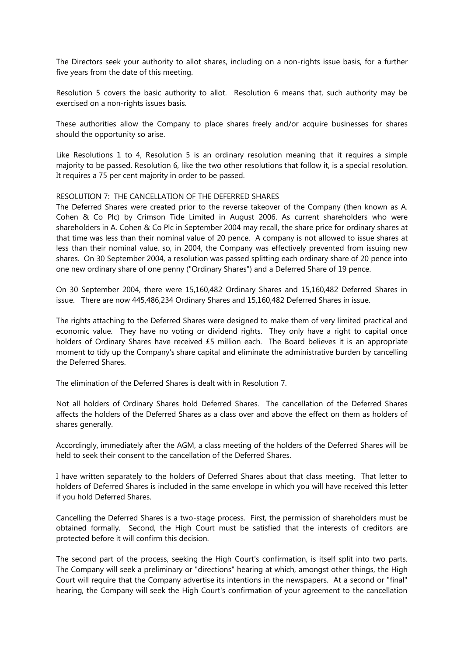The Directors seek your authority to allot shares, including on a non-rights issue basis, for a further five years from the date of this meeting.

Resolution 5 covers the basic authority to allot. Resolution 6 means that, such authority may be exercised on a non-rights issues basis.

These authorities allow the Company to place shares freely and/or acquire businesses for shares should the opportunity so arise.

Like Resolutions 1 to 4, Resolution 5 is an ordinary resolution meaning that it requires a simple majority to be passed. Resolution 6, like the two other resolutions that follow it, is a special resolution. It requires a 75 per cent majority in order to be passed.

#### RESOLUTION 7: THE CANCELLATION OF THE DEFERRED SHARES

The Deferred Shares were created prior to the reverse takeover of the Company (then known as A. Cohen & Co Plc) by Crimson Tide Limited in August 2006. As current shareholders who were shareholders in A. Cohen & Co Plc in September 2004 may recall, the share price for ordinary shares at that time was less than their nominal value of 20 pence. A company is not allowed to issue shares at less than their nominal value, so, in 2004, the Company was effectively prevented from issuing new shares. On 30 September 2004, a resolution was passed splitting each ordinary share of 20 pence into one new ordinary share of one penny ("Ordinary Shares") and a Deferred Share of 19 pence.

On 30 September 2004, there were 15,160,482 Ordinary Shares and 15,160,482 Deferred Shares in issue. There are now 445,486,234 Ordinary Shares and 15,160,482 Deferred Shares in issue.

The rights attaching to the Deferred Shares were designed to make them of very limited practical and economic value. They have no voting or dividend rights. They only have a right to capital once holders of Ordinary Shares have received £5 million each. The Board believes it is an appropriate moment to tidy up the Company's share capital and eliminate the administrative burden by cancelling the Deferred Shares.

The elimination of the Deferred Shares is dealt with in Resolution 7.

Not all holders of Ordinary Shares hold Deferred Shares. The cancellation of the Deferred Shares affects the holders of the Deferred Shares as a class over and above the effect on them as holders of shares generally.

Accordingly, immediately after the AGM, a class meeting of the holders of the Deferred Shares will be held to seek their consent to the cancellation of the Deferred Shares.

I have written separately to the holders of Deferred Shares about that class meeting. That letter to holders of Deferred Shares is included in the same envelope in which you will have received this letter if you hold Deferred Shares.

Cancelling the Deferred Shares is a two-stage process. First, the permission of shareholders must be obtained formally. Second, the High Court must be satisfied that the interests of creditors are protected before it will confirm this decision.

The second part of the process, seeking the High Court's confirmation, is itself split into two parts. The Company will seek a preliminary or "directions" hearing at which, amongst other things, the High Court will require that the Company advertise its intentions in the newspapers. At a second or "final" hearing, the Company will seek the High Court's confirmation of your agreement to the cancellation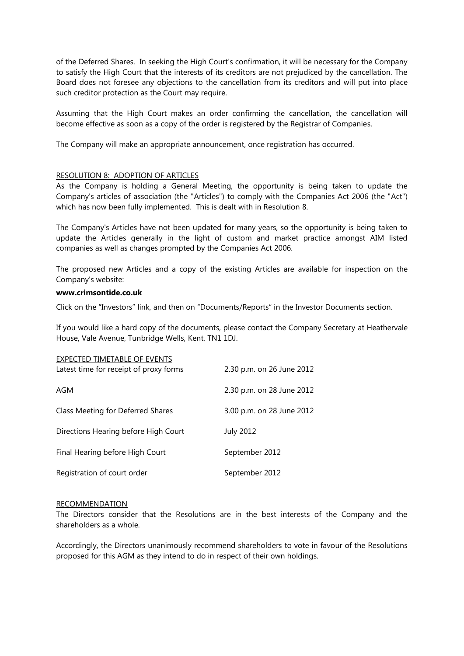of the Deferred Shares. In seeking the High Court's confirmation, it will be necessary for the Company to satisfy the High Court that the interests of its creditors are not prejudiced by the cancellation. The Board does not foresee any objections to the cancellation from its creditors and will put into place such creditor protection as the Court may require.

Assuming that the High Court makes an order confirming the cancellation, the cancellation will become effective as soon as a copy of the order is registered by the Registrar of Companies.

The Company will make an appropriate announcement, once registration has occurred.

### RESOLUTION 8: ADOPTION OF ARTICLES

As the Company is holding a General Meeting, the opportunity is being taken to update the Company's articles of association (the "Articles") to comply with the Companies Act 2006 (the "Act") which has now been fully implemented. This is dealt with in Resolution 8.

The Company's Articles have not been updated for many years, so the opportunity is being taken to update the Articles generally in the light of custom and market practice amongst AIM listed companies as well as changes prompted by the Companies Act 2006.

The proposed new Articles and a copy of the existing Articles are available for inspection on the Company's website:

#### **www.crimsontide.co.uk**

Click on the "Investors" link, and then on "Documents/Reports" in the Investor Documents section.

If you would like a hard copy of the documents, please contact the Company Secretary at Heathervale House, Vale Avenue, Tunbridge Wells, Kent, TN1 1DJ.

| EXPECTED TIMETABLE OF EVENTS<br>Latest time for receipt of proxy forms | 2.30 p.m. on 26 June 2012 |
|------------------------------------------------------------------------|---------------------------|
| AGM                                                                    | 2.30 p.m. on 28 June 2012 |
| Class Meeting for Deferred Shares                                      | 3.00 p.m. on 28 June 2012 |
| Directions Hearing before High Court                                   | <b>July 2012</b>          |
| Final Hearing before High Court                                        | September 2012            |
| Registration of court order                                            | September 2012            |

#### RECOMMENDATION

The Directors consider that the Resolutions are in the best interests of the Company and the shareholders as a whole.

Accordingly, the Directors unanimously recommend shareholders to vote in favour of the Resolutions proposed for this AGM as they intend to do in respect of their own holdings.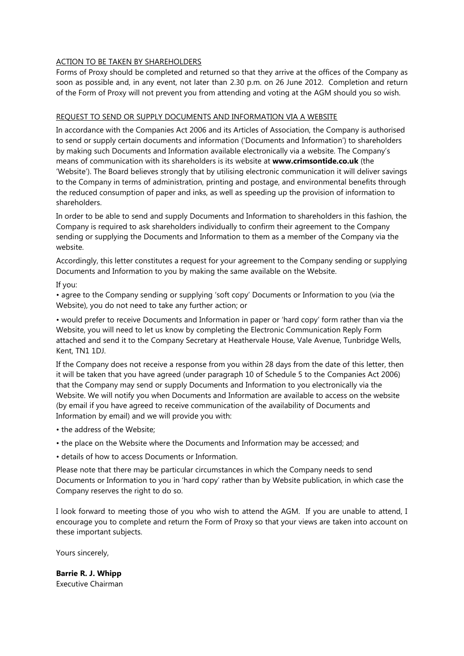## ACTION TO BE TAKEN BY SHAREHOLDERS

Forms of Proxy should be completed and returned so that they arrive at the offices of the Company as soon as possible and, in any event, not later than 2.30 p.m. on 26 June 2012. Completion and return of the Form of Proxy will not prevent you from attending and voting at the AGM should you so wish.

# REQUEST TO SEND OR SUPPLY DOCUMENTS AND INFORMATION VIA A WEBSITE

In accordance with the Companies Act 2006 and its Articles of Association, the Company is authorised to send or supply certain documents and information ('Documents and Information') to shareholders by making such Documents and Information available electronically via a website. The Company's means of communication with its shareholders is its website at **www.crimsontide.co.uk** (the 'Website'). The Board believes strongly that by utilising electronic communication it will deliver savings to the Company in terms of administration, printing and postage, and environmental benefits through the reduced consumption of paper and inks, as well as speeding up the provision of information to shareholders.

In order to be able to send and supply Documents and Information to shareholders in this fashion, the Company is required to ask shareholders individually to confirm their agreement to the Company sending or supplying the Documents and Information to them as a member of the Company via the website.

Accordingly, this letter constitutes a request for your agreement to the Company sending or supplying Documents and Information to you by making the same available on the Website.

If you:

• agree to the Company sending or supplying 'soft copy' Documents or Information to you (via the Website), you do not need to take any further action; or

• would prefer to receive Documents and Information in paper or 'hard copy' form rather than via the Website, you will need to let us know by completing the Electronic Communication Reply Form attached and send it to the Company Secretary at Heathervale House, Vale Avenue, Tunbridge Wells, Kent, TN1 1DJ.

If the Company does not receive a response from you within 28 days from the date of this letter, then it will be taken that you have agreed (under paragraph 10 of Schedule 5 to the Companies Act 2006) that the Company may send or supply Documents and Information to you electronically via the Website. We will notify you when Documents and Information are available to access on the website (by email if you have agreed to receive communication of the availability of Documents and Information by email) and we will provide you with:

- the address of the Website;
- the place on the Website where the Documents and Information may be accessed; and
- details of how to access Documents or Information.

Please note that there may be particular circumstances in which the Company needs to send Documents or Information to you in 'hard copy' rather than by Website publication, in which case the Company reserves the right to do so.

I look forward to meeting those of you who wish to attend the AGM. If you are unable to attend, I encourage you to complete and return the Form of Proxy so that your views are taken into account on these important subjects.

Yours sincerely,

**Barrie R. J. Whipp** Executive Chairman